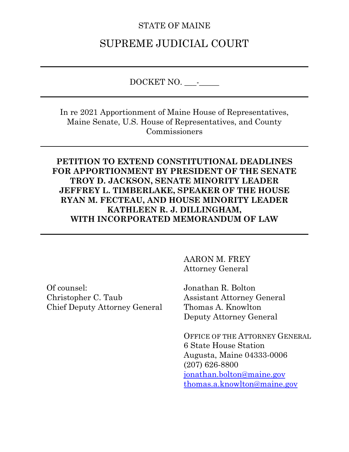### STATE OF MAINE

# SUPREME JUDICIAL COURT

DOCKET NO. \_\_\_-\_\_\_\_\_

In re 2021 Apportionment of Maine House of Representatives, Maine Senate, U.S. House of Representatives, and County Commissioners

### **PETITION TO EXTEND CONSTITUTIONAL DEADLINES FOR APPORTIONMENT BY PRESIDENT OF THE SENATE TROY D. JACKSON, SENATE MINORITY LEADER JEFFREY L. TIMBERLAKE, SPEAKER OF THE HOUSE RYAN M. FECTEAU, AND HOUSE MINORITY LEADER KATHLEEN R. J. DILLINGHAM, WITH INCORPORATED MEMORANDUM OF LAW**

Of counsel: Christopher C. Taub Chief Deputy Attorney General AARON M. FREY Attorney General

Jonathan R. Bolton Assistant Attorney General Thomas A. Knowlton Deputy Attorney General

OFFICE OF THE ATTORNEY GENERAL 6 State House Station Augusta, Maine 04333-0006 (207) 626-8800 [jonathan.bolton@maine.gov](mailto:jonathan.bolton@maine.gov) [thomas.a.knowlton@maine.gov](mailto:thomas.a.knowlton@maine.gov)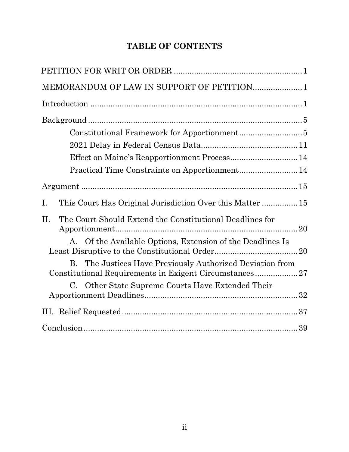# **TABLE OF CONTENTS**

| MEMORANDUM OF LAW IN SUPPORT OF PETITION1                                                                                    |
|------------------------------------------------------------------------------------------------------------------------------|
|                                                                                                                              |
|                                                                                                                              |
|                                                                                                                              |
|                                                                                                                              |
|                                                                                                                              |
|                                                                                                                              |
|                                                                                                                              |
| Ι.<br>This Court Has Original Jurisdiction Over this Matter 15                                                               |
| Η.<br>The Court Should Extend the Constitutional Deadlines for<br>A. Of the Available Options, Extension of the Deadlines Is |
| B. The Justices Have Previously Authorized Deviation from<br>Constitutional Requirements in Exigent Circumstances27          |
| C. Other State Supreme Courts Have Extended Their                                                                            |
|                                                                                                                              |
|                                                                                                                              |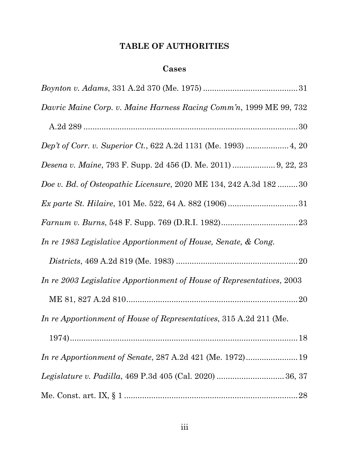# **TABLE OF AUTHORITIES**

### **Cases**

| Davric Maine Corp. v. Maine Harness Racing Comm'n, 1999 ME 99, 732     |
|------------------------------------------------------------------------|
|                                                                        |
| Dep't of Corr. v. Superior Ct., 622 A.2d 1131 (Me. 1993)  4, 20        |
| <i>Desena v. Maine, 793 F. Supp. 2d 456 (D. Me. 2011) </i> 9, 22, 23   |
| Doe v. Bd. of Osteopathic Licensure, 2020 ME 134, 242 A.3d 182 30      |
|                                                                        |
|                                                                        |
| In re 1983 Legislative Apportionment of House, Senate, & Cong.         |
|                                                                        |
| In re 2003 Legislative Apportionment of House of Representatives, 2003 |
|                                                                        |
| In re Apportionment of House of Representatives, 315 A.2d 211 (Me.     |
|                                                                        |
| In re Apportionment of Senate, 287 A.2d 421 (Me. 1972) 19              |
|                                                                        |
|                                                                        |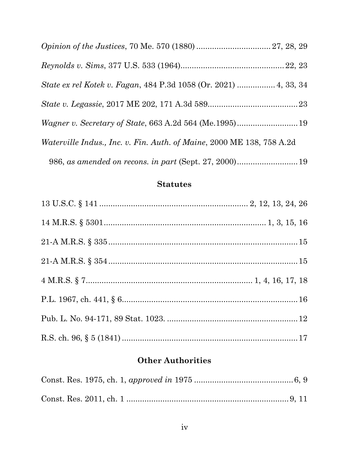| Waterville Indus., Inc. v. Fin. Auth. of Maine, 2000 ME 138, 758 A.2d |  |
|-----------------------------------------------------------------------|--|
|                                                                       |  |

## **Statutes**

# **Other Authorities**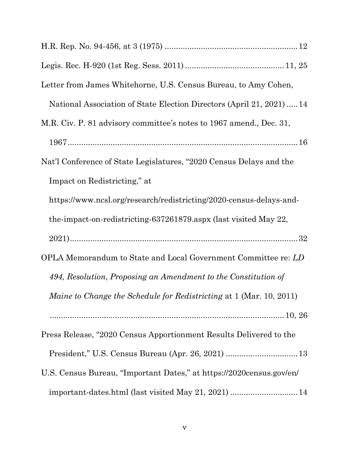| Letter from James Whitehorne, U.S. Census Bureau, to Amy Cohen,            |
|----------------------------------------------------------------------------|
| National Association of State Election Directors (April 21, 2021)  14      |
| M.R. Civ. P. 81 advisory committee's notes to 1967 amend., Dec. 31,        |
|                                                                            |
| Nat'l Conference of State Legislatures, "2020 Census Delays and the        |
| Impact on Redistricting," at                                               |
| https://www.ncsl.org/research/redistricting/2020-census-delays-and-        |
| the impact on redistricting 637261879 aspx (last visited May 22,           |
|                                                                            |
| OPLA Memorandum to State and Local Government Committee re: LD             |
| 494, Resolution, Proposing an Amendment to the Constitution of             |
| <i>Maine to Change the Schedule for Redistricting at 1 (Mar. 10, 2011)</i> |
|                                                                            |
| Press Release, "2020 Census Apportionment Results Delivered to the         |
|                                                                            |
| U.S. Census Bureau, "Important Dates," at https://2020census.gov/en/       |
| important-dates.html (last visited May 21, 2021)  14                       |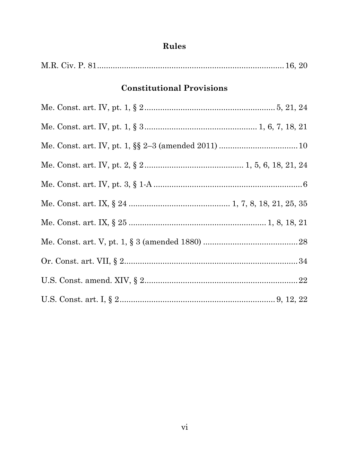| <b>Constitutional Provisions</b> |  |
|----------------------------------|--|
|                                  |  |
|                                  |  |
|                                  |  |
|                                  |  |
|                                  |  |
|                                  |  |
|                                  |  |
|                                  |  |
|                                  |  |
|                                  |  |
|                                  |  |

# Rules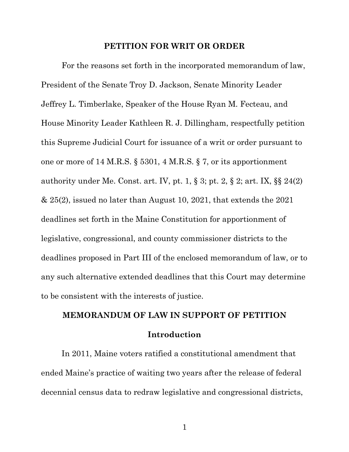#### **PETITION FOR WRIT OR ORDER**

For the reasons set forth in the incorporated memorandum of law, President of the Senate Troy D. Jackson, Senate Minority Leader Jeffrey L. Timberlake, Speaker of the House Ryan M. Fecteau, and House Minority Leader Kathleen R. J. Dillingham, respectfully petition this Supreme Judicial Court for issuance of a writ or order pursuant to one or more of 14 M.R.S. § 5301, 4 M.R.S. § 7, or its apportionment authority under Me. Const. art. IV, pt. 1,  $\S 3$ ; pt. 2,  $\S 2$ ; art. IX,  $\S 24(2)$ & 25(2), issued no later than August 10, 2021, that extends the 2021 deadlines set forth in the Maine Constitution for apportionment of legislative, congressional, and county commissioner districts to the deadlines proposed in Part III of the enclosed memorandum of law, or to any such alternative extended deadlines that this Court may determine to be consistent with the interests of justice.

# **MEMORANDUM OF LAW IN SUPPORT OF PETITION Introduction**

In 2011, Maine voters ratified a constitutional amendment that ended Maine's practice of waiting two years after the release of federal decennial census data to redraw legislative and congressional districts,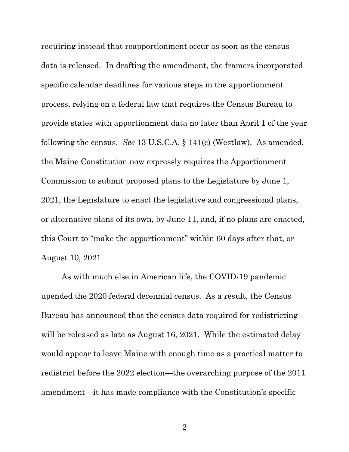requiring instead that reapportionment occur as soon as the census data is released. In drafting the amendment, the framers incorporated specific calendar deadlines for various steps in the apportionment process, relying on a federal law that requires the Census Bureau to provide states with apportionment data no later than April 1 of the year following the census. *See* 13 U.S.C.A. § 141(c) (Westlaw). As amended, the Maine Constitution now expressly requires the Apportionment Commission to submit proposed plans to the Legislature by June 1, 2021, the Legislature to enact the legislative and congressional plans, or alternative plans of its own, by June 11, and, if no plans are enacted, this Court to "make the apportionment" within 60 days after that, or August 10, 2021.

As with much else in American life, the COVID-19 pandemic upended the 2020 federal decennial census. As a result, the Census Bureau has announced that the census data required for redistricting will be released as late as August 16, 2021. While the estimated delay would appear to leave Maine with enough time as a practical matter to redistrict before the 2022 election—the overarching purpose of the 2011 amendment—it has made compliance with the Constitution's specific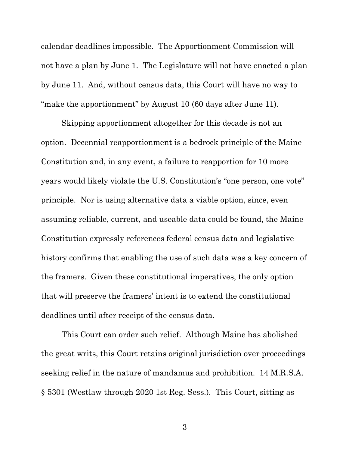calendar deadlines impossible. The Apportionment Commission will not have a plan by June 1. The Legislature will not have enacted a plan by June 11. And, without census data, this Court will have no way to "make the apportionment" by August 10 (60 days after June 11).

Skipping apportionment altogether for this decade is not an option. Decennial reapportionment is a bedrock principle of the Maine Constitution and, in any event, a failure to reapportion for 10 more years would likely violate the U.S. Constitution's "one person, one vote" principle. Nor is using alternative data a viable option, since, even assuming reliable, current, and useable data could be found, the Maine Constitution expressly references federal census data and legislative history confirms that enabling the use of such data was a key concern of the framers. Given these constitutional imperatives, the only option that will preserve the framers' intent is to extend the constitutional deadlines until after receipt of the census data.

This Court can order such relief. Although Maine has abolished the great writs, this Court retains original jurisdiction over proceedings seeking relief in the nature of mandamus and prohibition. 14 M.R.S.A. § 5301 (Westlaw through 2020 1st Reg. Sess.). This Court, sitting as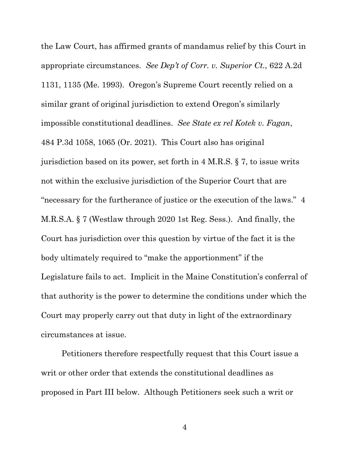the Law Court, has affirmed grants of mandamus relief by this Court in appropriate circumstances. *See Dep't of Corr. v. Superior Ct.*, 622 A.2d 1131, 1135 (Me. 1993). Oregon's Supreme Court recently relied on a similar grant of original jurisdiction to extend Oregon's similarly impossible constitutional deadlines. *See State ex rel Kotek v. Fagan*, 484 P.3d 1058, 1065 (Or. 2021). This Court also has original jurisdiction based on its power, set forth in 4 M.R.S. § 7, to issue writs not within the exclusive jurisdiction of the Superior Court that are "necessary for the furtherance of justice or the execution of the laws." 4 M.R.S.A. § 7 (Westlaw through 2020 1st Reg. Sess.). And finally, the Court has jurisdiction over this question by virtue of the fact it is the body ultimately required to "make the apportionment" if the Legislature fails to act. Implicit in the Maine Constitution's conferral of that authority is the power to determine the conditions under which the Court may properly carry out that duty in light of the extraordinary circumstances at issue.

Petitioners therefore respectfully request that this Court issue a writ or other order that extends the constitutional deadlines as proposed in Part [III](#page--1-10) below. Although Petitioners seek such a writ or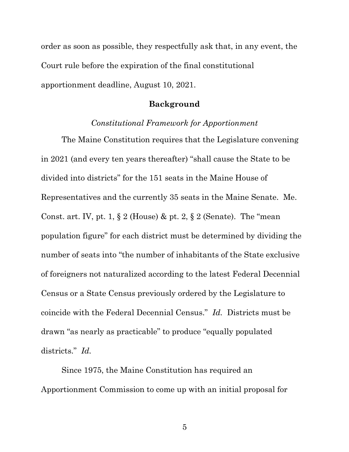order as soon as possible, they respectfully ask that, in any event, the Court rule before the expiration of the final constitutional apportionment deadline, August 10, 2021.

#### **Background**

#### *Constitutional Framework for Apportionment*

The Maine Constitution requires that the Legislature convening in 2021 (and every ten years thereafter) "shall cause the State to be divided into districts" for the 151 seats in the Maine House of Representatives and the currently 35 seats in the Maine Senate. Me. Const. art. IV, pt. 1,  $\S 2$  (House) & pt. 2,  $\S 2$  (Senate). The "mean" population figure" for each district must be determined by dividing the number of seats into "the number of inhabitants of the State exclusive of foreigners not naturalized according to the latest Federal Decennial Census or a State Census previously ordered by the Legislature to coincide with the Federal Decennial Census." *Id.* Districts must be drawn "as nearly as practicable" to produce "equally populated districts." *Id.*

Since 1975, the Maine Constitution has required an Apportionment Commission to come up with an initial proposal for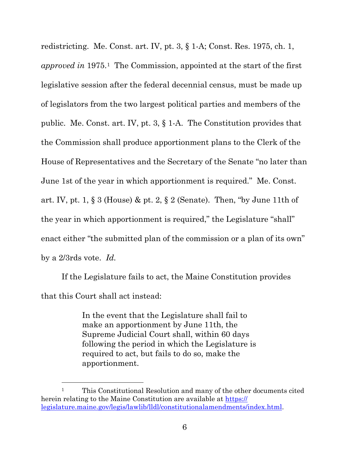redistricting. Me. Const. art. IV, pt. 3, § 1-A; Const. Res. 1975, ch. 1, *approved in* 1975.[1](#page--1-12) The Commission, appointed at the start of the first legislative session after the federal decennial census, must be made up of legislators from the two largest political parties and members of the public. Me. Const. art. IV, pt. 3, § 1-A.The Constitution provides that the Commission shall produce apportionment plans to the Clerk of the House of Representatives and the Secretary of the Senate "no later than June 1st of the year in which apportionment is required." Me. Const. art. IV, pt. 1, § 3 (House) & pt. 2, § 2 (Senate).Then, "by June 11th of the year in which apportionment is required," the Legislature "shall" enact either "the submitted plan of the commission or a plan of its own" by a 2/3rds vote. *Id.*

If the Legislature fails to act, the Maine Constitution provides that this Court shall act instead:

> In the event that the Legislature shall fail to make an apportionment by June 11th, the Supreme Judicial Court shall, within 60 days following the period in which the Legislature is required to act, but fails to do so, make the apportionment.

<sup>&</sup>lt;sup>1</sup> This Constitutional Resolution and many of the other documents cited herein relating to the Maine Constitution are available at [https://](https://legislature.maine.gov/legis/lawlib/lldl/constitutionalamendments/index.html) [legislature.maine.gov/legis/lawlib/lldl/constitutionalamendments/index.html.](https://legislature.maine.gov/legis/lawlib/lldl/constitutionalamendments/index.html)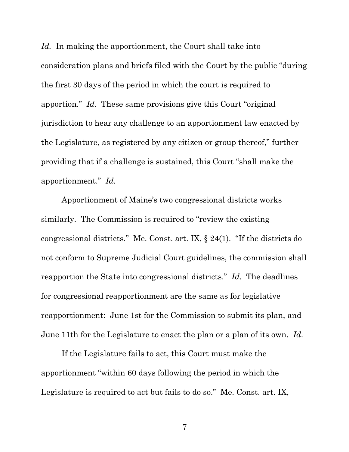Id. In making the apportionment, the Court shall take into consideration plans and briefs filed with the Court by the public "during the first 30 days of the period in which the court is required to apportion." *Id.* These same provisions give this Court "original jurisdiction to hear any challenge to an apportionment law enacted by the Legislature, as registered by any citizen or group thereof," further providing that if a challenge is sustained, this Court "shall make the apportionment." *Id.*

Apportionment of Maine's two congressional districts works similarly. The Commission is required to "review the existing congressional districts." Me. Const. art. IX, § 24(1). "If the districts do not conform to Supreme Judicial Court guidelines, the commission shall reapportion the State into congressional districts." *Id.* The deadlines for congressional reapportionment are the same as for legislative reapportionment: June 1st for the Commission to submit its plan, and June 11th for the Legislature to enact the plan or a plan of its own. *Id.*

If the Legislature fails to act, this Court must make the apportionment "within 60 days following the period in which the Legislature is required to act but fails to do so." Me. Const. art. IX,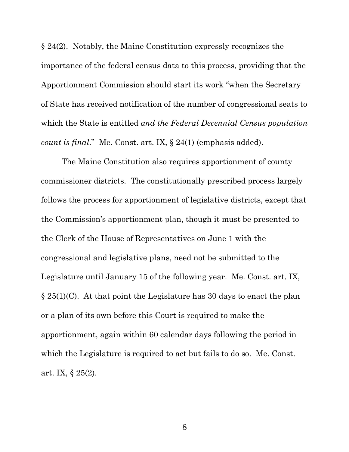§ 24(2). Notably, the Maine Constitution expressly recognizes the importance of the federal census data to this process, providing that the Apportionment Commission should start its work "when the Secretary of State has received notification of the number of congressional seats to which the State is entitled *and the Federal Decennial Census population count is final*." Me. Const. art. IX, § 24(1) (emphasis added).

The Maine Constitution also requires apportionment of county commissioner districts. The constitutionally prescribed process largely follows the process for apportionment of legislative districts, except that the Commission's apportionment plan, though it must be presented to the Clerk of the House of Representatives on June 1 with the congressional and legislative plans, need not be submitted to the Legislature until January 15 of the following year. Me. Const. art. IX, § 25(1)(C). At that point the Legislature has 30 days to enact the plan or a plan of its own before this Court is required to make the apportionment, again within 60 calendar days following the period in which the Legislature is required to act but fails to do so. Me. Const. art. IX, § 25(2).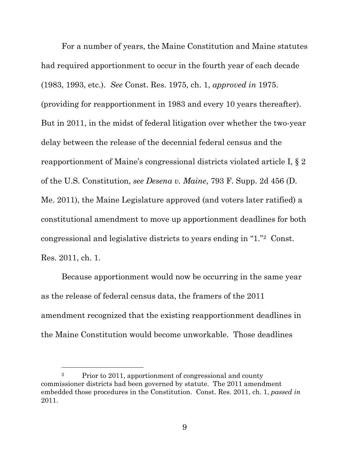For a number of years, the Maine Constitution and Maine statutes had required apportionment to occur in the fourth year of each decade (1983, 1993, etc.). *See* Const. Res. 1975, ch. 1, *approved in* 1975. (providing for reapportionment in 1983 and every 10 years thereafter). But in 2011, in the midst of federal litigation over whether the two-year delay between the release of the decennial federal census and the reapportionment of Maine's congressional districts violated article I, § 2 of the U.S. Constitution, *see Desena v. Maine*, 793 F. Supp. 2d 456 (D. Me. 2011), the Maine Legislature approved (and voters later ratified) a constitutional amendment to move up apportionment deadlines for both congressional and legislative districts to years ending in "1."[2](#page--1-13) Const. Res. 2011, ch. 1.

Because apportionment would now be occurring in the same year as the release of federal census data, the framers of the 2011 amendment recognized that the existing reapportionment deadlines in the Maine Constitution would become unworkable. Those deadlines

<sup>2</sup> Prior to 2011, apportionment of congressional and county commissioner districts had been governed by statute. The 2011 amendment embedded those procedures in the Constitution. Const. Res. 2011, ch. 1, *passed in* 2011.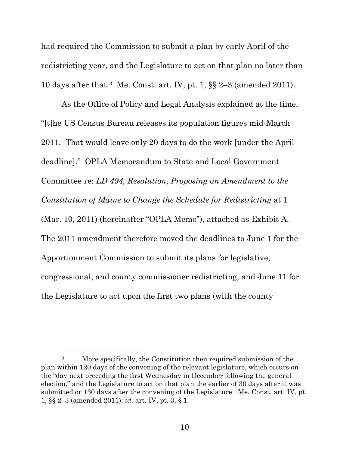had required the Commission to submit a plan by early April of the redistricting year, and the Legislature to act on that plan no later than 10 days after that.[3](#page--1-14) Me. Const. art. IV, pt. 1, §§ 2–3 (amended 2011).

As the Office of Policy and Legal Analysis explained at the time, "[t]he US Census Bureau releases its population figures mid-March 2011. That would leave only 20 days to do the work [under the April deadline]." OPLA Memorandum to State and Local Government Committee re: *LD 494, Resolution*, *Proposing an Amendment to the Constitution of Maine to Change the Schedule for Redistricting* at 1 (Mar. 10, 2011) (hereinafter "OPLA Memo"), attached as Exhibit A. The 2011 amendment therefore moved the deadlines to June 1 for the Apportionment Commission to submit its plans for legislative, congressional, and county commissioner redistricting, and June 11 for the Legislature to act upon the first two plans (with the county

<sup>3</sup> More specifically, the Constitution then required submission of the plan within 120 days of the convening of the relevant legislature, which occurs on the "day next preceding the first Wednesday in December following the general election," and the Legislature to act on that plan the earlier of 30 days after it was submitted or 130 days after the convening of the Legislature. Me. Const. art. IV, pt. 1, §§ 2–3 (amended 2011); *id.* art. IV, pt. 3, § 1.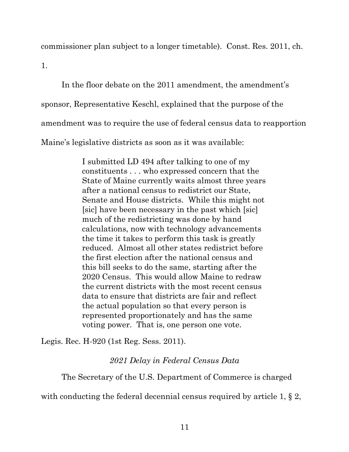commissioner plan subject to a longer timetable). Const. Res. 2011, ch.

1.

In the floor debate on the 2011 amendment, the amendment's sponsor, Representative Keschl, explained that the purpose of the amendment was to require the use of federal census data to reapportion Maine's legislative districts as soon as it was available:

> I submitted LD 494 after talking to one of my constituents . . . who expressed concern that the State of Maine currently waits almost three years after a national census to redistrict our State, Senate and House districts. While this might not [sic] have been necessary in the past which [sic] much of the redistricting was done by hand calculations, now with technology advancements the time it takes to perform this task is greatly reduced. Almost all other states redistrict before the first election after the national census and this bill seeks to do the same, starting after the 2020 Census. This would allow Maine to redraw the current districts with the most recent census data to ensure that districts are fair and reflect the actual population so that every person is represented proportionately and has the same voting power. That is, one person one vote.

Legis. Rec. H-920 (1st Reg. Sess. 2011).

## *2021 Delay in Federal Census Data*

The Secretary of the U.S. Department of Commerce is charged

with conducting the federal decennial census required by article 1, § 2,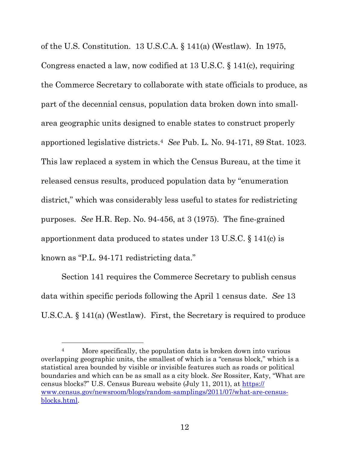of the U.S. Constitution. 13 U.S.C.A. § 141(a) (Westlaw). In 1975, Congress enacted a law, now codified at 13 U.S.C. § 141(c), requiring the Commerce Secretary to collaborate with state officials to produce, as part of the decennial census, population data broken down into smallarea geographic units designed to enable states to construct properly apportioned legislative districts.[4](#page--1-15) *See* Pub. L. No. 94-171, 89 Stat. 1023. This law replaced a system in which the Census Bureau, at the time it released census results, produced population data by "enumeration district," which was considerably less useful to states for redistricting purposes. *See* H.R. Rep. No. 94-456, at 3 (1975). The fine-grained apportionment data produced to states under 13 U.S.C. § 141(c) is known as "P.L. 94-171 redistricting data."

Section 141 requires the Commerce Secretary to publish census data within specific periods following the April 1 census date. *See* 13 U.S.C.A. § 141(a) (Westlaw). First, the Secretary is required to produce

<sup>&</sup>lt;sup>4</sup> More specifically, the population data is broken down into various overlapping geographic units, the smallest of which is a "census block," which is a statistical area bounded by visible or invisible features such as roads or political boundaries and which can be as small as a city block. *See* Rossiter, Katy, "What are census blocks?" U.S. Census Bureau website (July 11, 2011), at [https://](https://www.census.gov/newsroom/blogs/random-samplings/2011/07/what-are-census-blocks.html) [www.census.gov/newsroom/blogs/random-samplings/2011/07/what-are-census](https://www.census.gov/newsroom/blogs/random-samplings/2011/07/what-are-census-blocks.html)[blocks.html.](https://www.census.gov/newsroom/blogs/random-samplings/2011/07/what-are-census-blocks.html)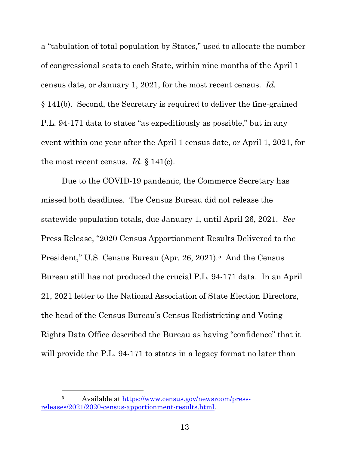a "tabulation of total population by States," used to allocate the number of congressional seats to each State, within nine months of the April 1 census date, or January 1, 2021, for the most recent census. *Id.* § 141(b). Second, the Secretary is required to deliver the fine-grained P.L. 94-171 data to states "as expeditiously as possible," but in any event within one year after the April 1 census date, or April 1, 2021, for the most recent census. *Id.* § 141(c).

Due to the COVID-19 pandemic, the Commerce Secretary has missed both deadlines. The Census Bureau did not release the statewide population totals, due January 1, until April 26, 2021. *See*  Press Release, "2020 Census Apportionment Results Delivered to the President," U.S. Census Bureau (Apr. 26, 2021).<sup>[5](#page--1-16)</sup> And the Census Bureau still has not produced the crucial P.L. 94-171 data. In an April 21, 2021 letter to the National Association of State Election Directors, the head of the Census Bureau's Census Redistricting and Voting Rights Data Office described the Bureau as having "confidence" that it will provide the P.L. 94-171 to states in a legacy format no later than

<sup>5</sup> Available at [https://www.census.gov/newsroom/press](https://www.census.gov/newsroom/press-releases/2021/2020-census-apportionment-results.html)[releases/2021/2020-census-apportionment-results.html.](https://www.census.gov/newsroom/press-releases/2021/2020-census-apportionment-results.html)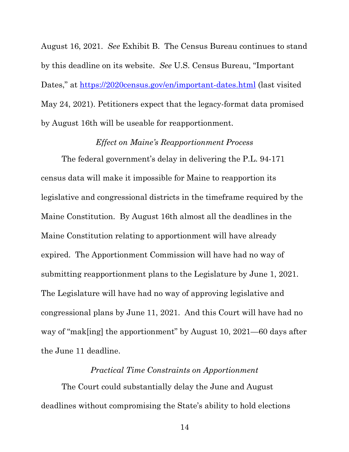August 16, 2021. *See* Exhibit B. The Census Bureau continues to stand by this deadline on its website. *See* U.S. Census Bureau, "Important Dates," at<https://2020census.gov/en/important-dates.html> (last visited May 24, 2021). Petitioners expect that the legacy-format data promised by August 16th will be useable for reapportionment.

#### *Effect on Maine's Reapportionment Process*

The federal government's delay in delivering the P.L. 94-171 census data will make it impossible for Maine to reapportion its legislative and congressional districts in the timeframe required by the Maine Constitution. By August 16th almost all the deadlines in the Maine Constitution relating to apportionment will have already expired. The Apportionment Commission will have had no way of submitting reapportionment plans to the Legislature by June 1, 2021. The Legislature will have had no way of approving legislative and congressional plans by June 11, 2021. And this Court will have had no way of "mak[ing] the apportionment" by August 10, 2021—60 days after the June 11 deadline.

### *Practical Time Constraints on Apportionment*

The Court could substantially delay the June and August deadlines without compromising the State's ability to hold elections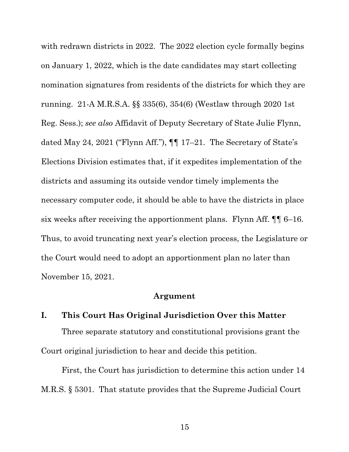with redrawn districts in 2022. The 2022 election cycle formally begins on January 1, 2022, which is the date candidates may start collecting nomination signatures from residents of the districts for which they are running. 21-A M.R.S.A. §§ 335(6), 354(6) (Westlaw through 2020 1st Reg. Sess.); *see also* Affidavit of Deputy Secretary of State Julie Flynn, dated May 24, 2021 ("Flynn Aff."), ¶¶ 17–21. The Secretary of State's Elections Division estimates that, if it expedites implementation of the districts and assuming its outside vendor timely implements the necessary computer code, it should be able to have the districts in place six weeks after receiving the apportionment plans. Flynn Aff. ¶¶ 6–16. Thus, to avoid truncating next year's election process, the Legislature or the Court would need to adopt an apportionment plan no later than November 15, 2021.

#### **Argument**

# **I. This Court Has Original Jurisdiction Over this Matter** Three separate statutory and constitutional provisions grant the Court original jurisdiction to hear and decide this petition.

First, the Court has jurisdiction to determine this action under 14 M.R.S. § 5301. That statute provides that the Supreme Judicial Court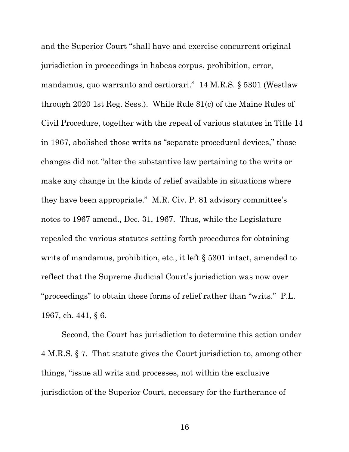and the Superior Court "shall have and exercise concurrent original jurisdiction in proceedings in habeas corpus, prohibition, error, mandamus, quo warranto and certiorari." 14 M.R.S. § 5301 (Westlaw through 2020 1st Reg. Sess.). While Rule 81(c) of the Maine Rules of Civil Procedure, together with the repeal of various statutes in Title 14 in 1967, abolished those writs as "separate procedural devices," those changes did not "alter the substantive law pertaining to the writs or make any change in the kinds of relief available in situations where they have been appropriate." M.R. Civ. P. 81 advisory committee's notes to 1967 amend., Dec. 31, 1967. Thus, while the Legislature repealed the various statutes setting forth procedures for obtaining writs of mandamus, prohibition, etc., it left § 5301 intact, amended to reflect that the Supreme Judicial Court's jurisdiction was now over "proceedings" to obtain these forms of relief rather than "writs." P.L. 1967, ch. 441, § 6.

Second, the Court has jurisdiction to determine this action under 4 M.R.S. § 7. That statute gives the Court jurisdiction to, among other things, "issue all writs and processes, not within the exclusive jurisdiction of the Superior Court, necessary for the furtherance of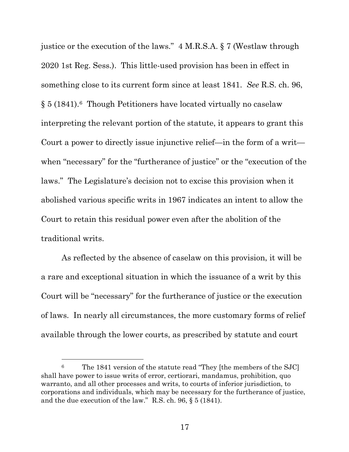justice or the execution of the laws." 4 M.R.S.A. § 7 (Westlaw through 2020 1st Reg. Sess.). This little-used provision has been in effect in something close to its current form since at least 1841. *See* R.S. ch. 96, § 5 (1841)[.6](#page--1-17) Though Petitioners have located virtually no caselaw interpreting the relevant portion of the statute, it appears to grant this Court a power to directly issue injunctive relief—in the form of a writ when "necessary" for the "furtherance of justice" or the "execution of the laws." The Legislature's decision not to excise this provision when it abolished various specific writs in 1967 indicates an intent to allow the Court to retain this residual power even after the abolition of the traditional writs.

As reflected by the absence of caselaw on this provision, it will be a rare and exceptional situation in which the issuance of a writ by this Court will be "necessary" for the furtherance of justice or the execution of laws. In nearly all circumstances, the more customary forms of relief available through the lower courts, as prescribed by statute and court

<sup>&</sup>lt;sup>6</sup> The 1841 version of the statute read "They [the members of the SJC] shall have power to issue writs of error, certiorari, mandamus, prohibition, quo warranto, and all other processes and writs, to courts of inferior jurisdiction, to corporations and individuals, which may be necessary for the furtherance of justice, and the due execution of the law." R.S. ch. 96, § 5 (1841).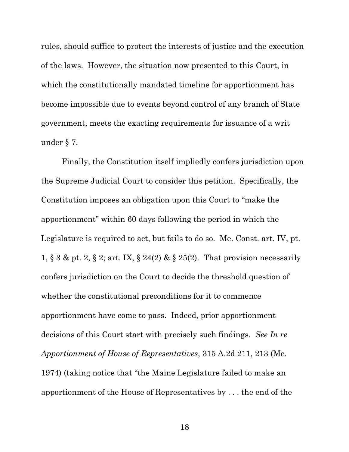rules, should suffice to protect the interests of justice and the execution of the laws. However, the situation now presented to this Court, in which the constitutionally mandated timeline for apportionment has become impossible due to events beyond control of any branch of State government, meets the exacting requirements for issuance of a writ under § 7.

Finally, the Constitution itself impliedly confers jurisdiction upon the Supreme Judicial Court to consider this petition. Specifically, the Constitution imposes an obligation upon this Court to "make the apportionment" within 60 days following the period in which the Legislature is required to act, but fails to do so. Me. Const. art. IV, pt. 1, § 3 & pt. 2, § 2; art. IX, § 24(2) & § 25(2). That provision necessarily confers jurisdiction on the Court to decide the threshold question of whether the constitutional preconditions for it to commence apportionment have come to pass. Indeed, prior apportionment decisions of this Court start with precisely such findings. *See In re Apportionment of House of Representatives*, 315 A.2d 211, 213 (Me. 1974) (taking notice that "the Maine Legislature failed to make an apportionment of the House of Representatives by . . . the end of the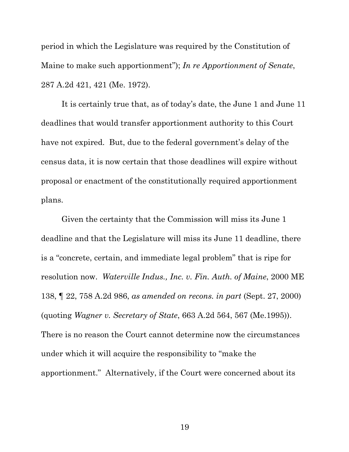period in which the Legislature was required by the Constitution of Maine to make such apportionment"); *In re Apportionment of Senate*, 287 A.2d 421, 421 (Me. 1972).

It is certainly true that, as of today's date, the June 1 and June 11 deadlines that would transfer apportionment authority to this Court have not expired. But, due to the federal government's delay of the census data, it is now certain that those deadlines will expire without proposal or enactment of the constitutionally required apportionment plans.

Given the certainty that the Commission will miss its June 1 deadline and that the Legislature will miss its June 11 deadline, there is a "concrete, certain, and immediate legal problem" that is ripe for resolution now. *Waterville Indus., Inc. v. Fin. Auth. of Maine*, 2000 ME 138, ¶ 22, 758 A.2d 986, *as amended on recons. in part* (Sept. 27, 2000) (quoting *Wagner v. Secretary of State*, 663 A.2d 564, 567 (Me.1995)). There is no reason the Court cannot determine now the circumstances under which it will acquire the responsibility to "make the apportionment." Alternatively, if the Court were concerned about its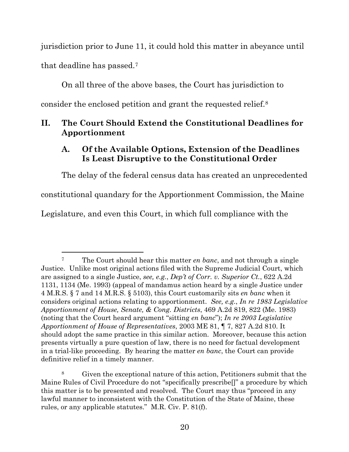jurisdiction prior to June 11, it could hold this matter in abeyance until that deadline has passed.[7](#page--1-18)

On all three of the above bases, the Court has jurisdiction to consider the enclosed petition and grant the requested relief[.8](#page--1-19)

### **II. The Court Should Extend the Constitutional Deadlines for Apportionment**

### **A. Of the Available Options, Extension of the Deadlines Is Least Disruptive to the Constitutional Order**

The delay of the federal census data has created an unprecedented constitutional quandary for the Apportionment Commission, the Maine Legislature, and even this Court, in which full compliance with the

<sup>7</sup> The Court should hear this matter *en banc*, and not through a single Justice. Unlike most original actions filed with the Supreme Judicial Court, which are assigned to a single Justice, *see, e.g.*, *Dep't of Corr. v. Superior Ct.*, 622 A.2d 1131, 1134 (Me. 1993) (appeal of mandamus action heard by a single Justice under 4 M.R.S. § 7 and 14 M.R.S. § 5103), this Court customarily sits *en banc* when it considers original actions relating to apportionment. *See, e.g.*, *In re 1983 Legislative Apportionment of House, Senate, & Cong. Districts*, 469 A.2d 819, 822 (Me. 1983) (noting that the Court heard argument "sitting *en banc*"); *In re 2003 Legislative Apportionment of House of Representatives*, 2003 ME 81, ¶ 7, 827 A.2d 810. It should adopt the same practice in this similar action. Moreover, because this action presents virtually a pure question of law, there is no need for factual development in a trial-like proceeding. By hearing the matter *en banc*, the Court can provide definitive relief in a timely manner.

<sup>8</sup> Given the exceptional nature of this action, Petitioners submit that the Maine Rules of Civil Procedure do not "specifically prescribe[]" a procedure by which this matter is to be presented and resolved. The Court may thus "proceed in any lawful manner to inconsistent with the Constitution of the State of Maine, these rules, or any applicable statutes." M.R. Civ. P. 81(f).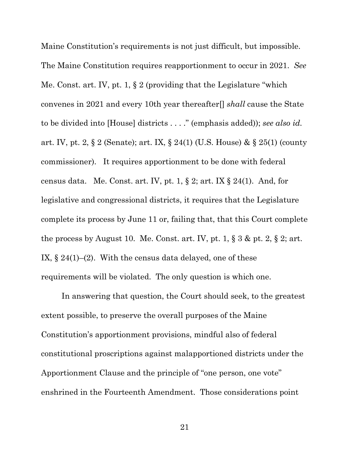Maine Constitution's requirements is not just difficult, but impossible. The Maine Constitution requires reapportionment to occur in 2021. *See*  Me. Const. art. IV, pt. 1, § 2 (providing that the Legislature "which convenes in 2021 and every 10th year thereafter[] *shall* cause the State to be divided into [House] districts . . . ." (emphasis added)); *see also id.* art. IV, pt. 2, § 2 (Senate); art. IX, § 24(1) (U.S. House) & § 25(1) (county commissioner). It requires apportionment to be done with federal census data. Me. Const. art. IV, pt. 1, § 2; art. IX § 24(1). And, for legislative and congressional districts, it requires that the Legislature complete its process by June 11 or, failing that, that this Court complete the process by August 10. Me. Const. art. IV, pt. 1,  $\S 3 \&$  pt. 2,  $\S 2$ ; art. IX,  $\S 24(1)$ –(2). With the census data delayed, one of these requirements will be violated. The only question is which one.

In answering that question, the Court should seek, to the greatest extent possible, to preserve the overall purposes of the Maine Constitution's apportionment provisions, mindful also of federal constitutional proscriptions against malapportioned districts under the Apportionment Clause and the principle of "one person, one vote" enshrined in the Fourteenth Amendment. Those considerations point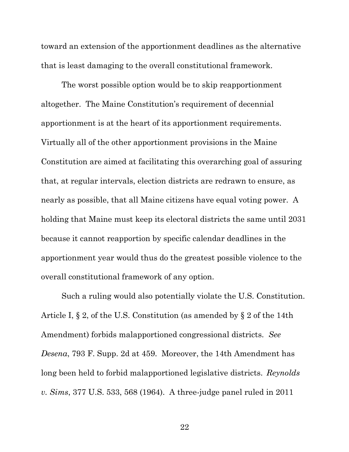toward an extension of the apportionment deadlines as the alternative that is least damaging to the overall constitutional framework.

The worst possible option would be to skip reapportionment altogether. The Maine Constitution's requirement of decennial apportionment is at the heart of its apportionment requirements. Virtually all of the other apportionment provisions in the Maine Constitution are aimed at facilitating this overarching goal of assuring that, at regular intervals, election districts are redrawn to ensure, as nearly as possible, that all Maine citizens have equal voting power. A holding that Maine must keep its electoral districts the same until 2031 because it cannot reapportion by specific calendar deadlines in the apportionment year would thus do the greatest possible violence to the overall constitutional framework of any option.

Such a ruling would also potentially violate the U.S. Constitution. Article I, § 2, of the U.S. Constitution (as amended by § 2 of the 14th Amendment) forbids malapportioned congressional districts. *See Desena*, 793 F. Supp. 2d at 459. Moreover, the 14th Amendment has long been held to forbid malapportioned legislative districts. *Reynolds v. Sims*, 377 U.S. 533, 568 (1964). A three-judge panel ruled in 2011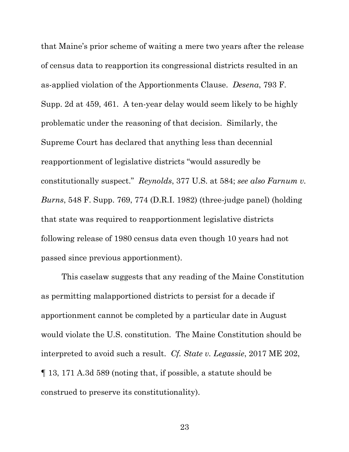that Maine's prior scheme of waiting a mere two years after the release of census data to reapportion its congressional districts resulted in an as-applied violation of the Apportionments Clause. *Desena*, 793 F. Supp. 2d at 459, 461. A ten-year delay would seem likely to be highly problematic under the reasoning of that decision. Similarly, the Supreme Court has declared that anything less than decennial reapportionment of legislative districts "would assuredly be constitutionally suspect." *Reynolds*, 377 U.S. at 584; *see also Farnum v. Burns*, 548 F. Supp. 769, 774 (D.R.I. 1982) (three-judge panel) (holding that state was required to reapportionment legislative districts following release of 1980 census data even though 10 years had not passed since previous apportionment).

This caselaw suggests that any reading of the Maine Constitution as permitting malapportioned districts to persist for a decade if apportionment cannot be completed by a particular date in August would violate the U.S. constitution. The Maine Constitution should be interpreted to avoid such a result. *Cf. State v. Legassie*, 2017 ME 202, ¶ 13, 171 A.3d 589 (noting that, if possible, a statute should be construed to preserve its constitutionality).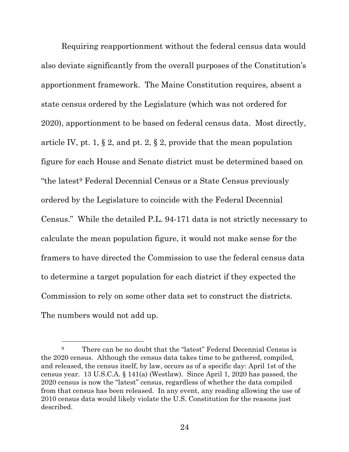Requiring reapportionment without the federal census data would also deviate significantly from the overall purposes of the Constitution's apportionment framework. The Maine Constitution requires, absent a state census ordered by the Legislature (which was not ordered for 2020), apportionment to be based on federal census data. Most directly, article IV, pt. 1,  $\S 2$ , and pt. 2,  $\S 2$ , provide that the mean population figure for each House and Senate district must be determined based on "the lates[t9](#page--1-20) Federal Decennial Census or a State Census previously ordered by the Legislature to coincide with the Federal Decennial Census." While the detailed P.L. 94-171 data is not strictly necessary to calculate the mean population figure, it would not make sense for the framers to have directed the Commission to use the federal census data to determine a target population for each district if they expected the Commission to rely on some other data set to construct the districts. The numbers would not add up.

<sup>&</sup>lt;sup>9</sup> There can be no doubt that the "latest" Federal Decennial Census is the 2020 census. Although the census data takes time to be gathered, compiled, and released, the census itself, by law, occurs as of a specific day: April 1st of the census year. 13 U.S.C.A. § 141(a) (Westlaw). Since April 1, 2020 has passed, the 2020 census is now the "latest" census, regardless of whether the data compiled from that census has been released. In any event, any reading allowing the use of 2010 census data would likely violate the U.S. Constitution for the reasons just described.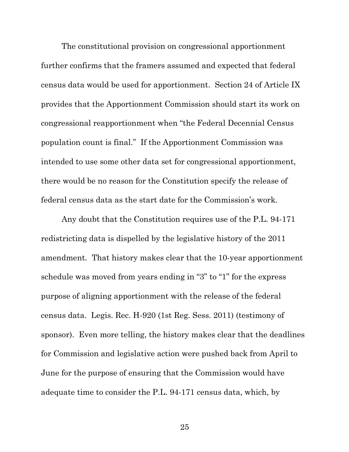The constitutional provision on congressional apportionment further confirms that the framers assumed and expected that federal census data would be used for apportionment. Section 24 of Article IX provides that the Apportionment Commission should start its work on congressional reapportionment when "the Federal Decennial Census population count is final." If the Apportionment Commission was intended to use some other data set for congressional apportionment, there would be no reason for the Constitution specify the release of federal census data as the start date for the Commission's work.

Any doubt that the Constitution requires use of the P.L. 94-171 redistricting data is dispelled by the legislative history of the 2011 amendment. That history makes clear that the 10-year apportionment schedule was moved from years ending in "3" to "1" for the express purpose of aligning apportionment with the release of the federal census data. Legis. Rec. H-920 (1st Reg. Sess. 2011) (testimony of sponsor). Even more telling, the history makes clear that the deadlines for Commission and legislative action were pushed back from April to June for the purpose of ensuring that the Commission would have adequate time to consider the P.L. 94-171 census data, which, by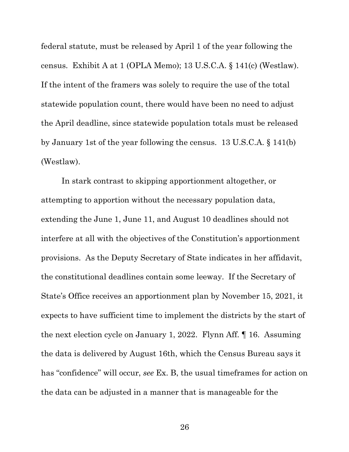federal statute, must be released by April 1 of the year following the census. Exhibit A at 1 (OPLA Memo); 13 U.S.C.A. § 141(c) (Westlaw). If the intent of the framers was solely to require the use of the total statewide population count, there would have been no need to adjust the April deadline, since statewide population totals must be released by January 1st of the year following the census. 13 U.S.C.A. § 141(b) (Westlaw).

In stark contrast to skipping apportionment altogether, or attempting to apportion without the necessary population data, extending the June 1, June 11, and August 10 deadlines should not interfere at all with the objectives of the Constitution's apportionment provisions. As the Deputy Secretary of State indicates in her affidavit, the constitutional deadlines contain some leeway. If the Secretary of State's Office receives an apportionment plan by November 15, 2021, it expects to have sufficient time to implement the districts by the start of the next election cycle on January 1, 2022. Flynn Aff. ¶ 16. Assuming the data is delivered by August 16th, which the Census Bureau says it has "confidence" will occur, *see* Ex. B, the usual timeframes for action on the data can be adjusted in a manner that is manageable for the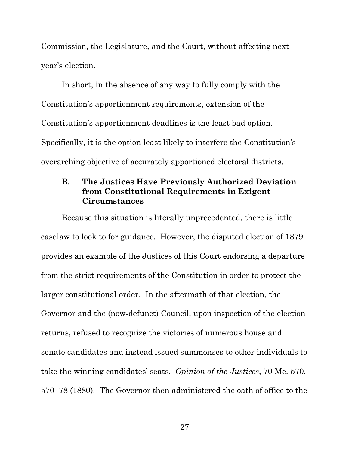Commission, the Legislature, and the Court, without affecting next year's election.

In short, in the absence of any way to fully comply with the Constitution's apportionment requirements, extension of the Constitution's apportionment deadlines is the least bad option. Specifically, it is the option least likely to interfere the Constitution's overarching objective of accurately apportioned electoral districts.

### **B. The Justices Have Previously Authorized Deviation from Constitutional Requirements in Exigent Circumstances**

Because this situation is literally unprecedented, there is little caselaw to look to for guidance. However, the disputed election of 1879 provides an example of the Justices of this Court endorsing a departure from the strict requirements of the Constitution in order to protect the larger constitutional order. In the aftermath of that election, the Governor and the (now-defunct) Council, upon inspection of the election returns, refused to recognize the victories of numerous house and senate candidates and instead issued summonses to other individuals to take the winning candidates' seats. *Opinion of the Justices*, 70 Me. 570, 570–78 (1880). The Governor then administered the oath of office to the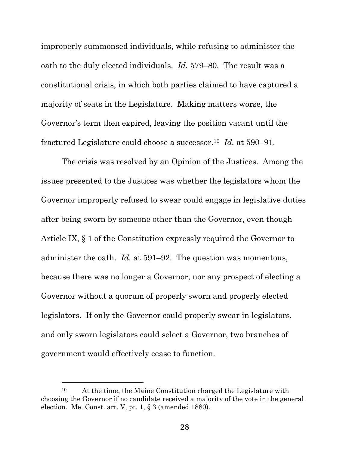improperly summonsed individuals, while refusing to administer the oath to the duly elected individuals. *Id.* 579–80. The result was a constitutional crisis, in which both parties claimed to have captured a majority of seats in the Legislature. Making matters worse, the Governor's term then expired, leaving the position vacant until the fractured Legislature could choose a successor.[10](#page--1-12) *Id.* at 590–91.

The crisis was resolved by an Opinion of the Justices. Among the issues presented to the Justices was whether the legislators whom the Governor improperly refused to swear could engage in legislative duties after being sworn by someone other than the Governor, even though Article IX, § 1 of the Constitution expressly required the Governor to administer the oath. *Id.* at 591–92. The question was momentous, because there was no longer a Governor, nor any prospect of electing a Governor without a quorum of properly sworn and properly elected legislators. If only the Governor could properly swear in legislators, and only sworn legislators could select a Governor, two branches of government would effectively cease to function.

<sup>10</sup> At the time, the Maine Constitution charged the Legislature with choosing the Governor if no candidate received a majority of the vote in the general election. Me. Const. art. V, pt. 1, § 3 (amended 1880).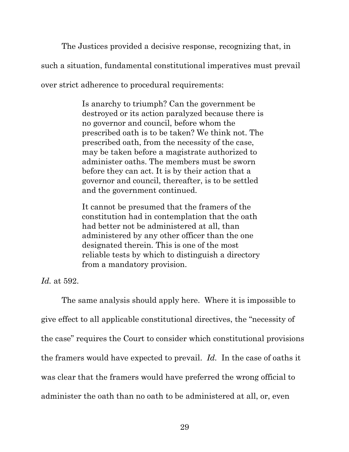The Justices provided a decisive response, recognizing that, in such a situation, fundamental constitutional imperatives must prevail over strict adherence to procedural requirements:

> Is anarchy to triumph? Can the government be destroyed or its action paralyzed because there is no governor and council, before whom the prescribed oath is to be taken? We think not. The prescribed oath, from the necessity of the case, may be taken before a magistrate authorized to administer oaths. The members must be sworn before they can act. It is by their action that a governor and council, thereafter, is to be settled and the government continued.

It cannot be presumed that the framers of the constitution had in contemplation that the oath had better not be administered at all, than administered by any other officer than the one designated therein. This is one of the most reliable tests by which to distinguish a directory from a mandatory provision.

*Id.* at 592.

The same analysis should apply here. Where it is impossible to give effect to all applicable constitutional directives, the "necessity of the case" requires the Court to consider which constitutional provisions the framers would have expected to prevail. *Id.* In the case of oaths it was clear that the framers would have preferred the wrong official to administer the oath than no oath to be administered at all, or, even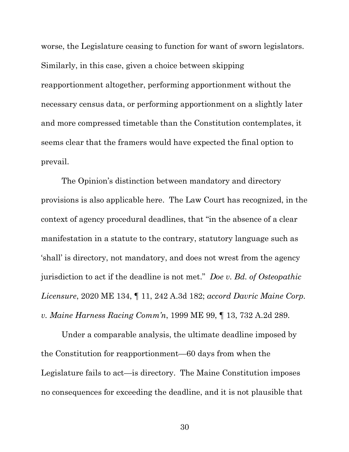worse, the Legislature ceasing to function for want of sworn legislators. Similarly, in this case, given a choice between skipping reapportionment altogether, performing apportionment without the necessary census data, or performing apportionment on a slightly later and more compressed timetable than the Constitution contemplates, it seems clear that the framers would have expected the final option to prevail.

The Opinion's distinction between mandatory and directory provisions is also applicable here. The Law Court has recognized, in the context of agency procedural deadlines, that "in the absence of a clear manifestation in a statute to the contrary, statutory language such as 'shall' is directory, not mandatory, and does not wrest from the agency jurisdiction to act if the deadline is not met." *Doe v. Bd. of Osteopathic Licensure*, 2020 ME 134, ¶ 11, 242 A.3d 182; *accord Davric Maine Corp. v. Maine Harness Racing Comm'n*, 1999 ME 99, ¶ 13, 732 A.2d 289.

Under a comparable analysis, the ultimate deadline imposed by the Constitution for reapportionment—60 days from when the Legislature fails to act—is directory. The Maine Constitution imposes no consequences for exceeding the deadline, and it is not plausible that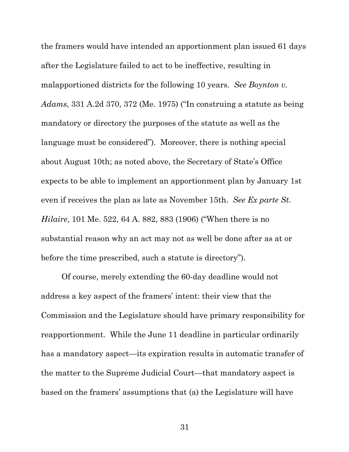the framers would have intended an apportionment plan issued 61 days after the Legislature failed to act to be ineffective, resulting in malapportioned districts for the following 10 years. *See Boynton v. Adams*, 331 A.2d 370, 372 (Me. 1975) ("In construing a statute as being mandatory or directory the purposes of the statute as well as the language must be considered"). Moreover, there is nothing special about August 10th; as noted above, the Secretary of State's Office expects to be able to implement an apportionment plan by January 1st even if receives the plan as late as November 15th. *See Ex parte St. Hilaire*, 101 Me. 522, 64 A. 882, 883 (1906) ("When there is no substantial reason why an act may not as well be done after as at or before the time prescribed, such a statute is directory").

Of course, merely extending the 60-day deadline would not address a key aspect of the framers' intent: their view that the Commission and the Legislature should have primary responsibility for reapportionment. While the June 11 deadline in particular ordinarily has a mandatory aspect—its expiration results in automatic transfer of the matter to the Supreme Judicial Court—that mandatory aspect is based on the framers' assumptions that (a) the Legislature will have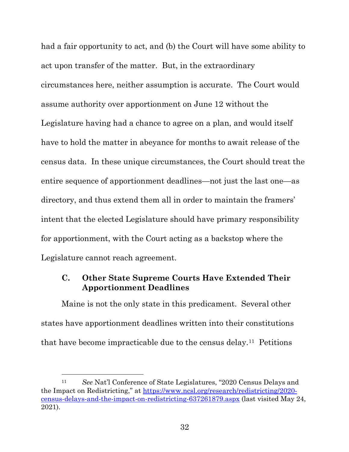had a fair opportunity to act, and (b) the Court will have some ability to act upon transfer of the matter. But, in the extraordinary circumstances here, neither assumption is accurate. The Court would assume authority over apportionment on June 12 without the Legislature having had a chance to agree on a plan, and would itself have to hold the matter in abeyance for months to await release of the census data. In these unique circumstances, the Court should treat the entire sequence of apportionment deadlines—not just the last one—as directory, and thus extend them all in order to maintain the framers' intent that the elected Legislature should have primary responsibility for apportionment, with the Court acting as a backstop where the Legislature cannot reach agreement.

### **C. Other State Supreme Courts Have Extended Their Apportionment Deadlines**

Maine is not the only state in this predicament. Several other states have apportionment deadlines written into their constitutions that have become impracticable due to the census delay.[11](#page--1-21) Petitions

<sup>11</sup> *See* Nat'l Conference of State Legislatures, "2020 Census Delays and the Impact on Redistricting," at [https://www.ncsl.org/research/redistricting/2020](https://www.ncsl.org/research/redistricting/2020-census-delays-and-the-impact-on-redistricting-637261879.aspx) [census-delays-and-the-impact-on-redistricting-637261879.aspx](https://www.ncsl.org/research/redistricting/2020-census-delays-and-the-impact-on-redistricting-637261879.aspx) (last visited May 24, 2021).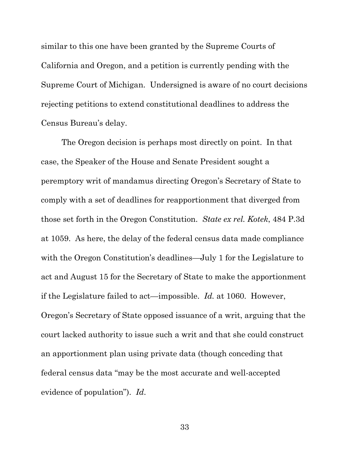similar to this one have been granted by the Supreme Courts of California and Oregon, and a petition is currently pending with the Supreme Court of Michigan. Undersigned is aware of no court decisions rejecting petitions to extend constitutional deadlines to address the Census Bureau's delay.

The Oregon decision is perhaps most directly on point. In that case, the Speaker of the House and Senate President sought a peremptory writ of mandamus directing Oregon's Secretary of State to comply with a set of deadlines for reapportionment that diverged from those set forth in the Oregon Constitution. *State ex rel. Kotek*, 484 P.3d at 1059. As here, the delay of the federal census data made compliance with the Oregon Constitution's deadlines—July 1 for the Legislature to act and August 15 for the Secretary of State to make the apportionment if the Legislature failed to act—impossible. *Id.* at 1060. However, Oregon's Secretary of State opposed issuance of a writ, arguing that the court lacked authority to issue such a writ and that she could construct an apportionment plan using private data (though conceding that federal census data "may be the most accurate and well-accepted evidence of population"). *Id*.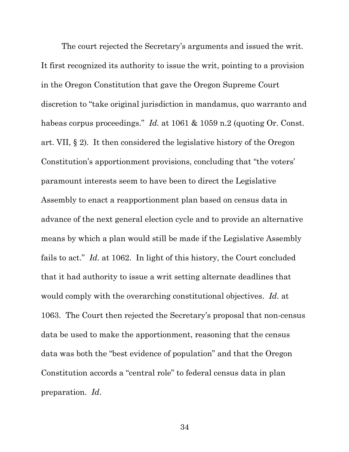The court rejected the Secretary's arguments and issued the writ. It first recognized its authority to issue the writ, pointing to a provision in the Oregon Constitution that gave the Oregon Supreme Court discretion to "take original jurisdiction in mandamus, quo warranto and habeas corpus proceedings." *Id.* at 1061 & 1059 n.2 (quoting Or. Const.) art. VII, § 2). It then considered the legislative history of the Oregon Constitution's apportionment provisions, concluding that "the voters' paramount interests seem to have been to direct the Legislative Assembly to enact a reapportionment plan based on census data in advance of the next general election cycle and to provide an alternative means by which a plan would still be made if the Legislative Assembly fails to act." *Id.* at 1062. In light of this history, the Court concluded that it had authority to issue a writ setting alternate deadlines that would comply with the overarching constitutional objectives. *Id.* at 1063. The Court then rejected the Secretary's proposal that non-census data be used to make the apportionment, reasoning that the census data was both the "best evidence of population" and that the Oregon Constitution accords a "central role" to federal census data in plan preparation. *Id*.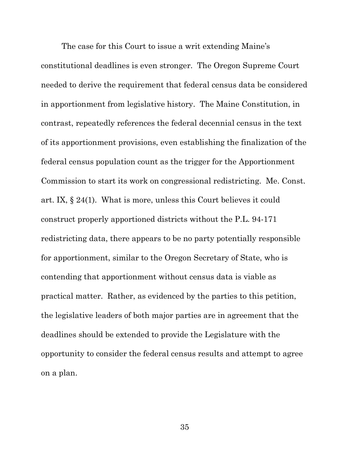The case for this Court to issue a writ extending Maine's constitutional deadlines is even stronger. The Oregon Supreme Court needed to derive the requirement that federal census data be considered in apportionment from legislative history. The Maine Constitution, in contrast, repeatedly references the federal decennial census in the text of its apportionment provisions, even establishing the finalization of the federal census population count as the trigger for the Apportionment Commission to start its work on congressional redistricting. Me. Const. art. IX, § 24(1). What is more, unless this Court believes it could construct properly apportioned districts without the P.L. 94-171 redistricting data, there appears to be no party potentially responsible for apportionment, similar to the Oregon Secretary of State, who is contending that apportionment without census data is viable as practical matter. Rather, as evidenced by the parties to this petition, the legislative leaders of both major parties are in agreement that the deadlines should be extended to provide the Legislature with the opportunity to consider the federal census results and attempt to agree on a plan.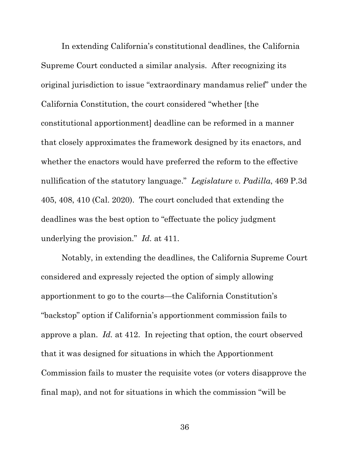In extending California's constitutional deadlines, the California Supreme Court conducted a similar analysis. After recognizing its original jurisdiction to issue "extraordinary mandamus relief" under the California Constitution, the court considered "whether [the constitutional apportionment] deadline can be reformed in a manner that closely approximates the framework designed by its enactors, and whether the enactors would have preferred the reform to the effective nullification of the statutory language." *Legislature v. Padilla*, 469 P.3d 405, 408, 410 (Cal. 2020). The court concluded that extending the deadlines was the best option to "effectuate the policy judgment underlying the provision." *Id.* at 411.

Notably, in extending the deadlines, the California Supreme Court considered and expressly rejected the option of simply allowing apportionment to go to the courts—the California Constitution's "backstop" option if California's apportionment commission fails to approve a plan. *Id.* at 412. In rejecting that option, the court observed that it was designed for situations in which the Apportionment Commission fails to muster the requisite votes (or voters disapprove the final map), and not for situations in which the commission "will be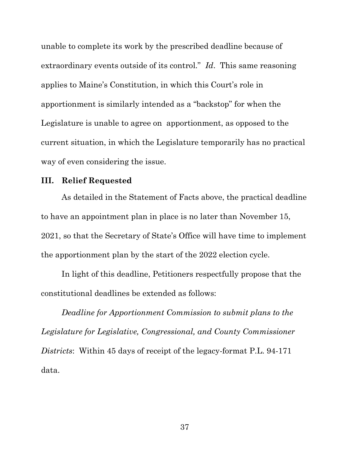unable to complete its work by the prescribed deadline because of extraordinary events outside of its control." *Id*. This same reasoning applies to Maine's Constitution, in which this Court's role in apportionment is similarly intended as a "backstop" for when the Legislature is unable to agree on apportionment, as opposed to the current situation, in which the Legislature temporarily has no practical way of even considering the issue.

### **III. Relief Requested**

As detailed in the Statement of Facts above, the practical deadline to have an appointment plan in place is no later than November 15, 2021, so that the Secretary of State's Office will have time to implement the apportionment plan by the start of the 2022 election cycle.

In light of this deadline, Petitioners respectfully propose that the constitutional deadlines be extended as follows:

*Deadline for Apportionment Commission to submit plans to the Legislature for Legislative, Congressional, and County Commissioner Districts*: Within 45 days of receipt of the legacy-format P.L. 94-171 data.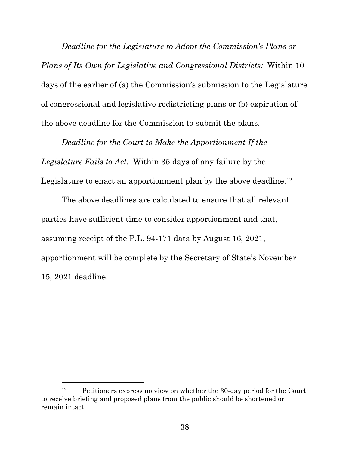*Deadline for the Legislature to Adopt the Commission's Plans or Plans of Its Own for Legislative and Congressional Districts:* Within 10 days of the earlier of (a) the Commission's submission to the Legislature of congressional and legislative redistricting plans or (b) expiration of the above deadline for the Commission to submit the plans.

*Deadline for the Court to Make the Apportionment If the Legislature Fails to Act:* Within 35 days of any failure by the Legislature to enact an apportionment plan by the above deadline.<sup>[12](#page--1-12)</sup>

The above deadlines are calculated to ensure that all relevant parties have sufficient time to consider apportionment and that, assuming receipt of the P.L. 94-171 data by August 16, 2021, apportionment will be complete by the Secretary of State's November 15, 2021 deadline.

<sup>12</sup> Petitioners express no view on whether the 30-day period for the Court to receive briefing and proposed plans from the public should be shortened or remain intact.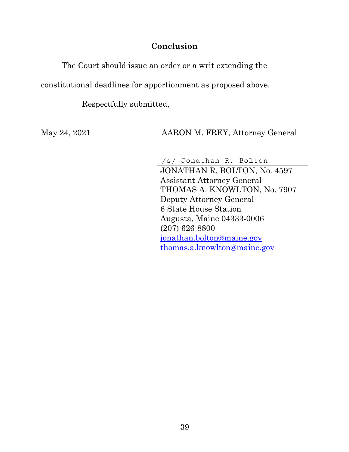### **Conclusion**

The Court should issue an order or a writ extending the

constitutional deadlines for apportionment as proposed above.

Respectfully submitted,

May 24, 2021 AARON M. FREY, Attorney General

/s/ Jonathan R. Bolton JONATHAN R. BOLTON, No. 4597 Assistant Attorney General THOMAS A. KNOWLTON, No. 7907 Deputy Attorney General 6 State House Station Augusta, Maine 04333-0006 (207) 626-8800 [jonathan.bolton@maine.gov](mailto:jonathan.bolton@maine.gov) [thomas.a.knowlton@maine.gov](mailto:thomas.a.knowlton@maine.gov)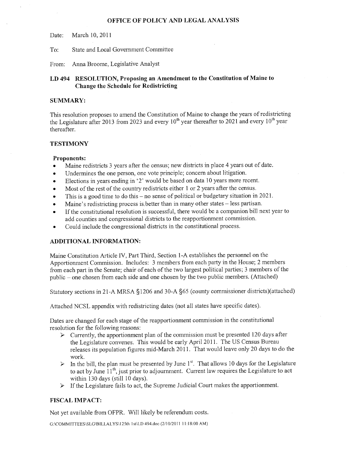#### OFFICE OF POLICY AND LEGAL ANALYSIS

March 10, 2011 Date:

State and Local Government Committee  $To:$ 

From: Anna Broome, Legislative Analyst

#### LD 494 RESOLUTION, Proposing an Amendment to the Constitution of Maine to **Change the Schedule for Redistricting**

#### **SUMMARY:**

This resolution proposes to amend the Constitution of Maine to change the years of redistricting the Legislature after 2013 from 2023 and every  $10^{th}$  year thereafter to 2021 and every  $10^{th}$  year thereafter.

#### **TESTIMONY**

#### **Proponents:**

- Maine redistricts 3 years after the census; new districts in place 4 years out of date.  $\bullet$
- Undermines the one person, one vote principle; concern about litigation.  $\bullet$
- Elections in years ending in '2' would be based on data 10 years more recent.
- Most of the rest of the country redistricts either 1 or 2 years after the census.
- This is a good time to do this no sense of political or budgetary situation in 2021.  $\bullet$
- Maine's redistricting process is better than in many other states less partisan.
- If the constitutional resolution is successful, there would be a companion bill next vear to add counties and congressional districts to the reapportionment commission.
- Could include the congressional districts in the constitutional process.

#### **ADDITIONAL INFORMATION:**

Maine Constitution Article IV, Part Third, Section 1-A establishes the personnel on the Apportionment Commission. Includes: 3 members from each party in the House; 2 members from each part in the Senate; chair of each of the two largest political parties; 3 members of the public – one chosen from each side and one chosen by the two public members. (Attached)

Statutory sections in 21-A MRSA §1206 and 30-A §65 (county commissioner districts)(attached)

Attached NCSL appendix with redistricting dates (not all states have specific dates).

Dates are changed for each stage of the reapportionment commission in the constitutional resolution for the following reasons:

- $\triangleright$  Currently, the apportionment plan of the commission must be presented 120 days after the Legislature convenes. This would be early April 2011. The US Census Bureau releases its population figures mid-March 2011. That would leave only 20 days to do the work.
- $\triangleright$  In the bill, the plan must be presented by June 1<sup>st</sup>. That allows 10 days for the Legislature to act by June 11<sup>th</sup>, just prior to adjournment. Current law requires the Legislature to act within 130 days (still 10 days).
- $\triangleright$  If the Legislature fails to act, the Supreme Judicial Court makes the apportionment.

#### **FISCAL IMPACT:**

Not yet available from OFPR. Will likely be referendum costs.

G:\COMMITTEES\SLG\BILLALYS\125th 1st\LD 494.doc (2/10/2011 11:18:00 AM)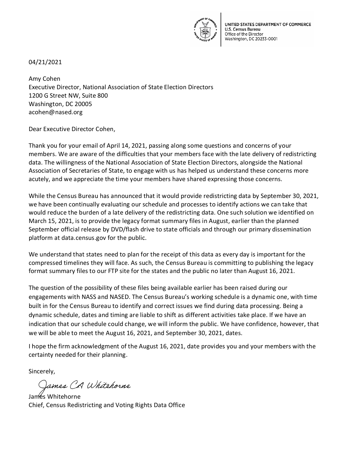

UNITED STATES DEPARTMENT OF COMMERCE U.S. Census Bureau Office of the Director Washington, DC 20233-0001

04/21/2021

Amy Cohen Executive Director, National Association of State Election Directors 1200 G Street NW, Suite 800 Washington, DC 20005 acohen@nased.org

Dear Executive Director Cohen,

Thank you for your email of April 14, 2021, passing along some questions and concerns of your members. We are aware of the difficulties that your members face with the late delivery of redistricting data. The willingness of the National Association of State Election Directors, alongside the National Association of Secretaries of State, to engage with us has helped us understand these concerns more acutely, and we appreciate the time your members have shared expressing those concerns.

While the Census Bureau has announced that it would provide redistricting data by September 30, 2021, we have been continually evaluating our schedule and processes to identify actions we can take that would reduce the burden of a late delivery of the redistricting data. One such solution we identified on March 15, 2021, is to provide the legacy format summary files in August, earlier than the planned September official release by DVD/flash drive to state officials and through our primary dissemination platform at data.census.gov for the public.

We understand that states need to plan for the receipt of this data as every day is important for the compressed timelines they will face. As such, the Census Bureau is committing to publishing the legacy format summary files to our FTP site for the states and the public no later than August 16, 2021.

The question of the possibility of these files being available earlier has been raised during our engagements with NASS and NASED. The Census Bureau's working schedule is a dynamic one, with time built in for the Census Bureau to identify and correct issues we find during data processing. Being a dynamic schedule, dates and timing are liable to shift as different activities take place. If we have an indication that our schedule could change, we will inform the public. We have confidence, however, that we will be able to meet the August 16, 2021, and September 30, 2021, dates.

I hope the firm acknowledgment of the August 16, 2021, date provides you and your members with the certainty needed for their planning.

Sincerely,

James CA Whitehorne

James Whitehorne Chief, Census Redistricting and Voting Rights Data Office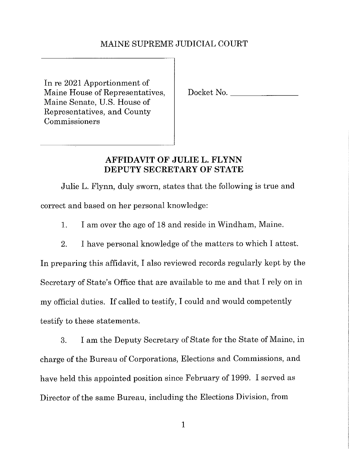### MAINE SUPREME JUDICIAL COURT

In re 2021 Apportionment of Maine House of Representatives, Maine Senate, U.S. House of Representatives, and County Commissioners

Docket No.

### AFFIDAVIT OF JULIE L. FLYNN DEPUTY SECRETARY OF STATE

Julie L. Flynn, duly sworn, states that the following is true and correct and based on her personal knowledge:

I am over the age of 18 and reside in Windham, Maine.  $\mathbf{1}$ .

2. I have personal knowledge of the matters to which I attest.

In preparing this affidavit, I also reviewed records regularly kept by the Secretary of State's Office that are available to me and that I rely on in my official duties. If called to testify, I could and would competently testify to these statements.

3. I am the Deputy Secretary of State for the State of Maine, in charge of the Bureau of Corporations, Elections and Commissions, and have held this appointed position since February of 1999. I served as Director of the same Bureau, including the Elections Division, from

 $\mathbf{1}$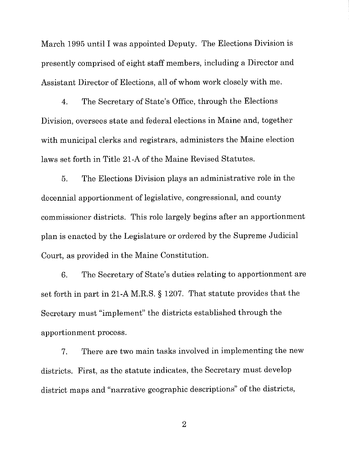March 1995 until I was appointed Deputy. The Elections Division is presently comprised of eight staff members, including a Director and Assistant Director of Elections, all of whom work closely with me.

The Secretary of State's Office, through the Elections  $\overline{4}$ . Division, oversees state and federal elections in Maine and, together with municipal clerks and registrars, administers the Maine election laws set forth in Title 21-A of the Maine Revised Statutes.

5. The Elections Division plays an administrative role in the decennial apportionment of legislative, congressional, and county commissioner districts. This role largely begins after an apportionment plan is enacted by the Legislature or ordered by the Supreme Judicial Court, as provided in the Maine Constitution.

The Secretary of State's duties relating to apportionment are 6. set forth in part in 21-A M.R.S. § 1207. That statute provides that the Secretary must "implement" the districts established through the apportionment process.

There are two main tasks involved in implementing the new  $7.$ districts. First, as the statute indicates, the Secretary must develop district maps and "narrative geographic descriptions" of the districts,

 $\overline{2}$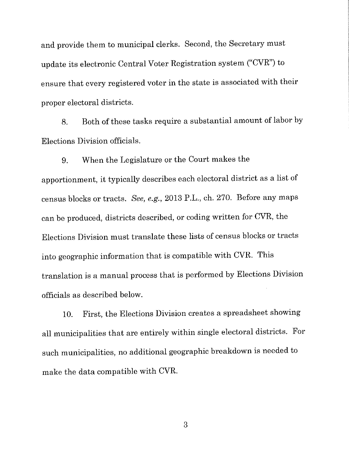and provide them to municipal clerks. Second, the Secretary must update its electronic Central Voter Registration system ("CVR") to ensure that every registered voter in the state is associated with their proper electoral districts.

Both of these tasks require a substantial amount of labor by 8. Elections Division officials.

When the Legislature or the Court makes the 9. apportionment, it typically describes each electoral district as a list of census blocks or tracts. See, e.g., 2013 P.L., ch. 270. Before any maps can be produced, districts described, or coding written for CVR, the Elections Division must translate these lists of census blocks or tracts into geographic information that is compatible with CVR. This translation is a manual process that is performed by Elections Division officials as described below.

First, the Elections Division creates a spreadsheet showing 10. all municipalities that are entirely within single electoral districts. For such municipalities, no additional geographic breakdown is needed to make the data compatible with CVR.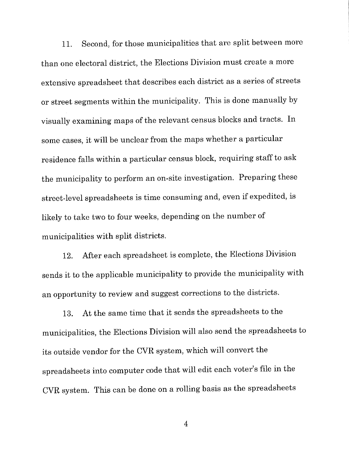Second, for those municipalities that are split between more 11. than one electoral district, the Elections Division must create a more extensive spreadsheet that describes each district as a series of streets or street segments within the municipality. This is done manually by visually examining maps of the relevant census blocks and tracts. In some cases, it will be unclear from the maps whether a particular residence falls within a particular census block, requiring staff to ask the municipality to perform an on-site investigation. Preparing these street-level spreadsheets is time consuming and, even if expedited, is likely to take two to four weeks, depending on the number of municipalities with split districts.

After each spreadsheet is complete, the Elections Division 12. sends it to the applicable municipality to provide the municipality with an opportunity to review and suggest corrections to the districts.

At the same time that it sends the spreadsheets to the 13. municipalities, the Elections Division will also send the spreadsheets to its outside vendor for the CVR system, which will convert the spreadsheets into computer code that will edit each voter's file in the CVR system. This can be done on a rolling basis as the spreadsheets

 $\overline{4}$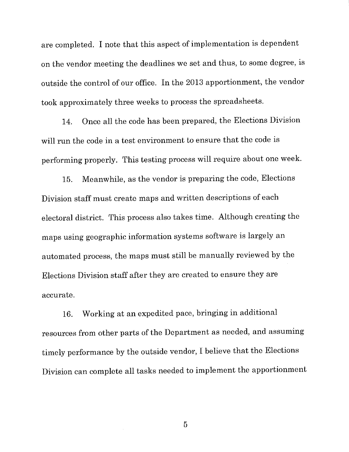are completed. I note that this aspect of implementation is dependent on the vendor meeting the deadlines we set and thus, to some degree, is outside the control of our office. In the 2013 apportionment, the vendor took approximately three weeks to process the spreadsheets.

Once all the code has been prepared, the Elections Division  $14.$ will run the code in a test environment to ensure that the code is performing properly. This testing process will require about one week.

Meanwhile, as the vendor is preparing the code, Elections 15. Division staff must create maps and written descriptions of each electoral district. This process also takes time. Although creating the maps using geographic information systems software is largely an automated process, the maps must still be manually reviewed by the Elections Division staff after they are created to ensure they are accurate.

Working at an expedited pace, bringing in additional 16. resources from other parts of the Department as needed, and assuming timely performance by the outside vendor, I believe that the Elections Division can complete all tasks needed to implement the apportionment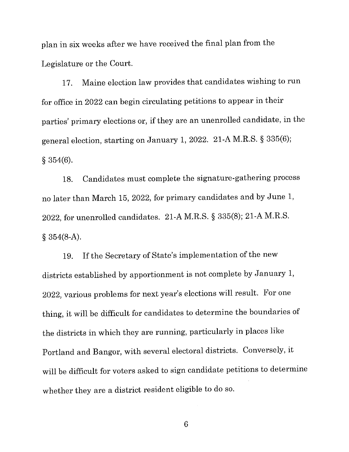plan in six weeks after we have received the final plan from the Legislature or the Court.

Maine election law provides that candidates wishing to run 17. for office in 2022 can begin circulating petitions to appear in their parties' primary elections or, if they are an unenrolled candidate, in the general election, starting on January 1, 2022. 21-A M.R.S. § 335(6);  $§ 354(6).$ 

Candidates must complete the signature-gathering process 18. no later than March 15, 2022, for primary candidates and by June 1, 2022, for unenrolled candidates. 21-A M.R.S. § 335(8); 21-A M.R.S.  $§ 354(8-A).$ 

If the Secretary of State's implementation of the new 19. districts established by apportionment is not complete by January 1, 2022, various problems for next year's elections will result. For one thing, it will be difficult for candidates to determine the boundaries of the districts in which they are running, particularly in places like Portland and Bangor, with several electoral districts. Conversely, it will be difficult for voters asked to sign candidate petitions to determine whether they are a district resident eligible to do so.